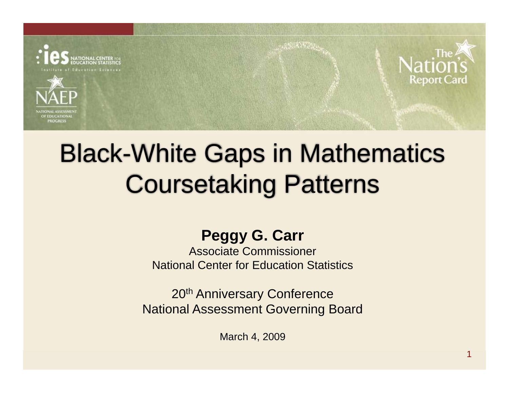





## Black-White Gaps in Mathematics Coursetaking Patterns

**ASSISTENT** 

#### **Peggy G. Carr**

Associate Commissioner National Center for Education Statistics

20th Anniversary Conference National Assessment Governing Board

March 4, 2009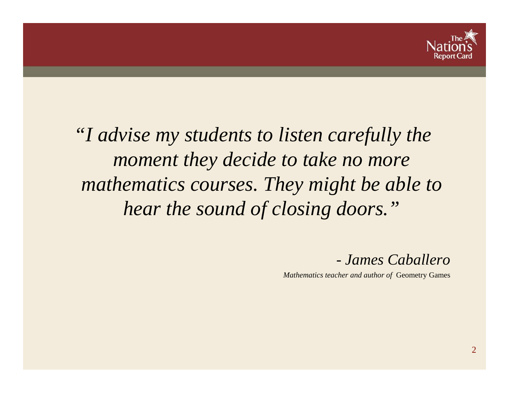

*"I advise my students to listen carefully the moment they decide to take no more mathematics courses. They might be able to hear the sound of closing doors."*

*- James Caballero* 

*Mathematics teacher and author of* Geometry Games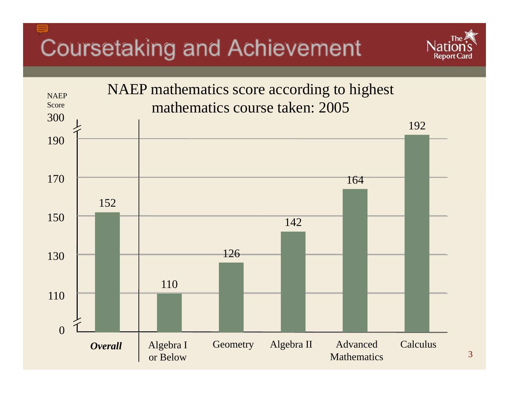## Coursetaking and Achievement



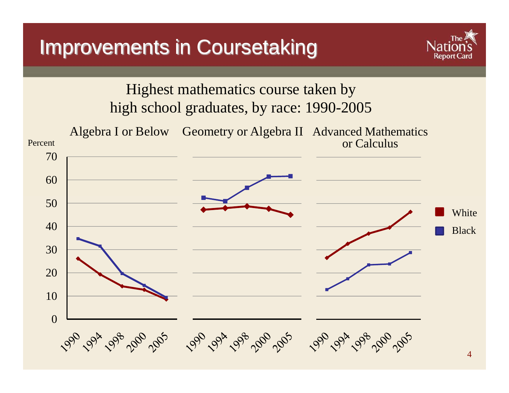#### Improvements in Coursetaking



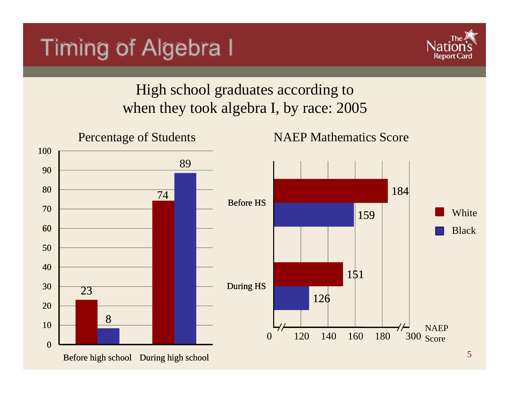#### Timing of Algebra I



#### High school graduates according to when they took algebra I, by race: 2005



Before high school During high school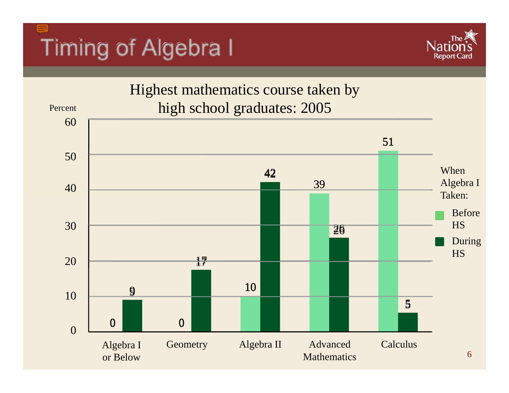# Timing of Algebra I



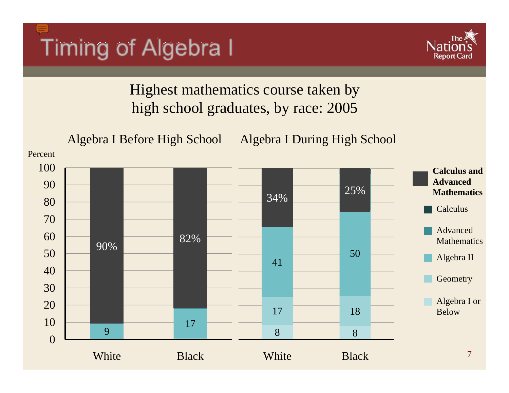



Highest mathematics course taken by high school graduates, by race: 2005

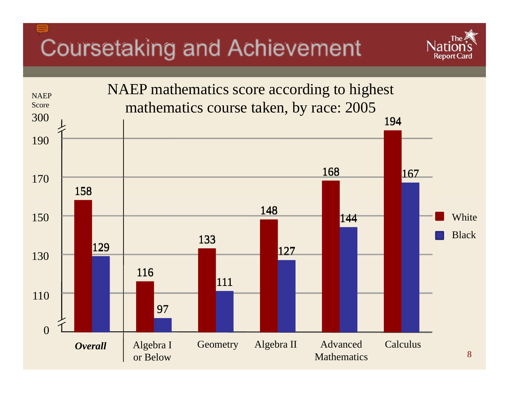## Coursetaking and Achievement



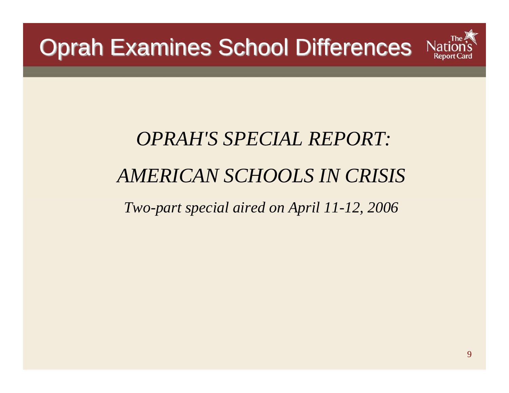

# *OPRAH'S SPECIAL REPORT: AMERICAN SCHOOLS IN CRISIS*

*Two-part special aired on April 11-12, 2006*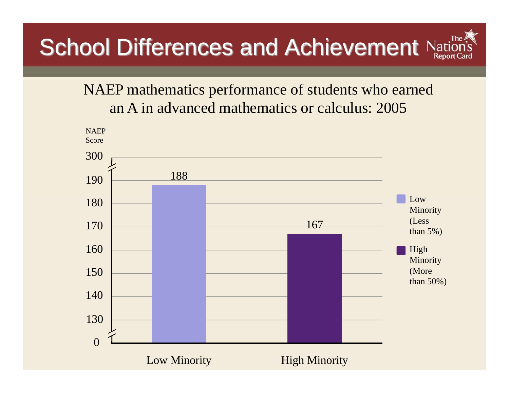### School Differences and Achievement Nat

#### NAEP mathematics performance of students who earned an A in advanced mathematics or calculus: 2005

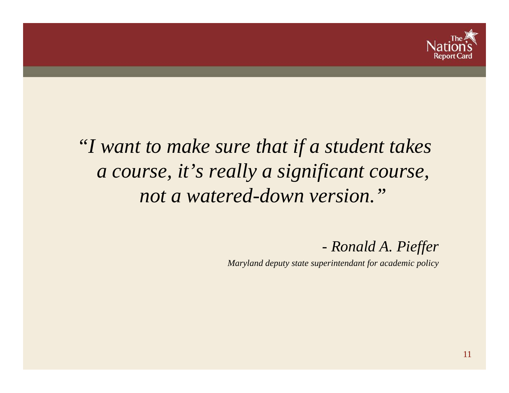

#### *"I want to make sure that if a student takes a course, it's really a significant course, not a watered-down version."*

*- Ronald A. Pieffer*

*Maryland deputy state superintendant for academic policy*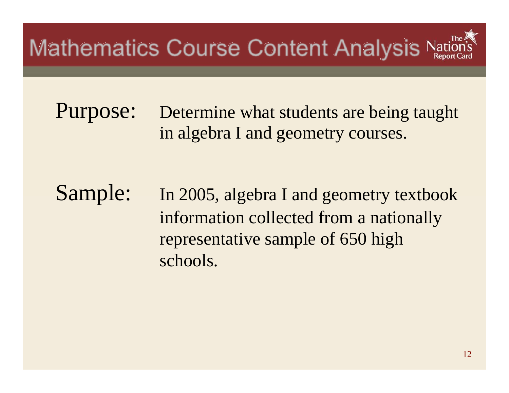Purpose: Determine what students are being taught in algebra I and geometry courses.

Sample: In 2005, algebra I and geometry textbook information collected from a nationally representative sample of 650 high schools.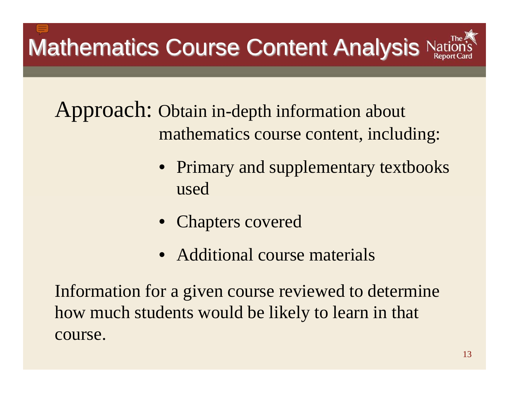Approach: Obtain in-depth information about mathematics course content, including:

- Primary and supplementary textbooks used
- Chapters covered
- Additional course materials

Information for a given course reviewed to determine how much students would be likely to learn in that course.